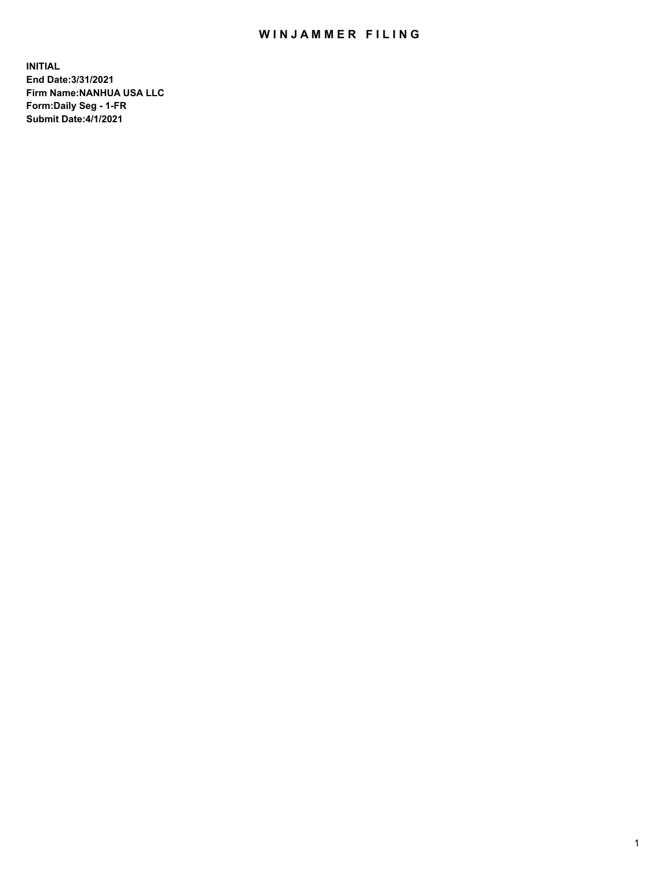## WIN JAMMER FILING

**INITIAL End Date:3/31/2021 Firm Name:NANHUA USA LLC Form:Daily Seg - 1-FR Submit Date:4/1/2021**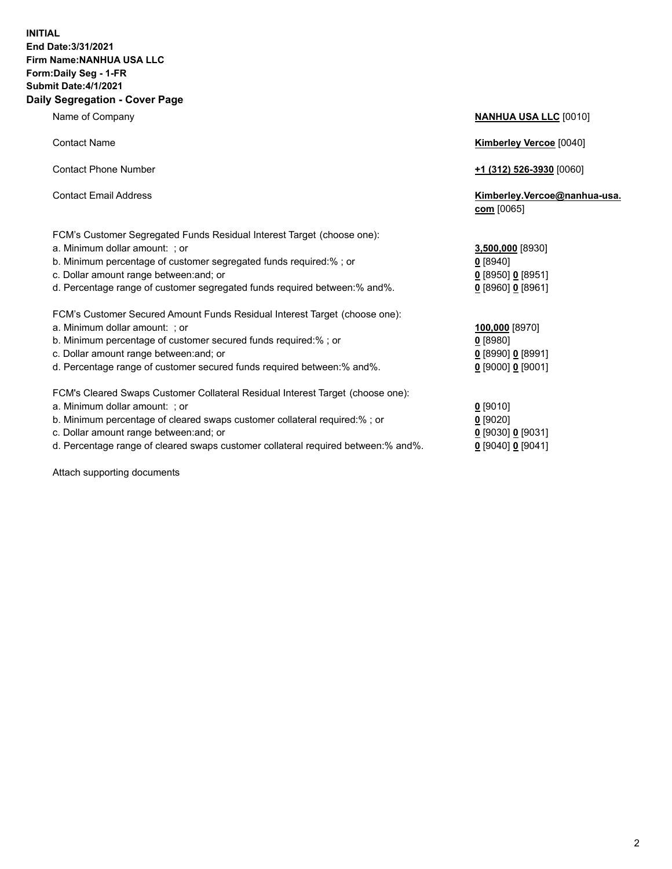## **INITIAL End Date:3/31/2021 Firm Name:NANHUA USA LLC Form:Daily Seg - 1-FR Submit Date:4/1/2021 Daily Segregation - Cover Page**

| <b>TRAILIO OF OUTIFUILY</b>                                                                                                                                                                                                                                                                             | <u><b>WINDAY OUT LES</b></u> 100101                                          |
|---------------------------------------------------------------------------------------------------------------------------------------------------------------------------------------------------------------------------------------------------------------------------------------------------------|------------------------------------------------------------------------------|
| <b>Contact Name</b>                                                                                                                                                                                                                                                                                     | <b>Kimberley Vercoe [0040]</b>                                               |
| <b>Contact Phone Number</b>                                                                                                                                                                                                                                                                             | $+1$ (312) 526-3930 [0060]                                                   |
| <b>Contact Email Address</b>                                                                                                                                                                                                                                                                            | Kimberley.Vercoe@nanhua-usa.<br>com [0065]                                   |
| FCM's Customer Segregated Funds Residual Interest Target (choose one):<br>a. Minimum dollar amount: ; or<br>b. Minimum percentage of customer segregated funds required:%; or<br>c. Dollar amount range between: and; or<br>d. Percentage range of customer segregated funds required between: % and %. | 3,500,000 [8930]<br>$0$ [8940]<br>$0$ [8950] 0 [8951]<br>$0$ [8960] 0 [8961] |
| FCM's Customer Secured Amount Funds Residual Interest Target (choose one):<br>a. Minimum dollar amount: ; or<br>b. Minimum percentage of customer secured funds required:%; or<br>c. Dollar amount range between: and; or<br>d. Percentage range of customer secured funds required between: % and %.   | 100,000 [8970]<br>$0$ [8980]<br>$0$ [8990] 0 [8991]<br>$0$ [9000] 0 [9001]   |
| FCM's Cleared Swaps Customer Collateral Residual Interest Target (choose one):<br>a. Minimum dollar amount: ; or<br>b. Minimum percentage of cleared swaps customer collateral required:% ; or<br>c. Dollar amount range between: and; or                                                               | $0$ [9010]<br>$0$ [9020]<br>$0$ [9030] 0 [9031]                              |

- 
- d. Percentage range of cleared swaps customer collateral required between:% and%. **0** [9040] **0** [9041]

Attach supporting documents

Name of Company **NANHUA USA LLC** [0010]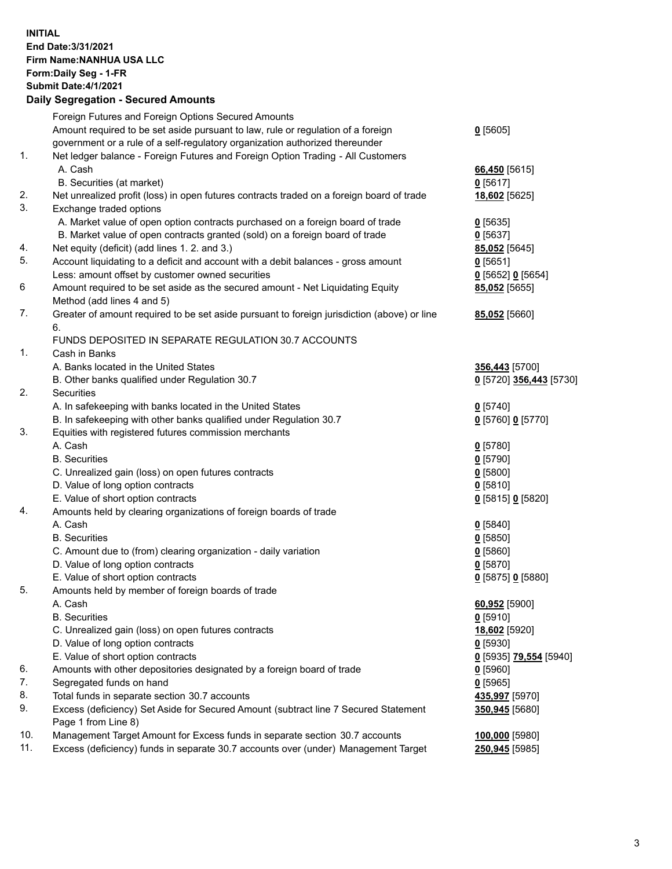## **INITIAL End Date:3/31/2021 Firm Name:NANHUA USA LLC Form:Daily Seg - 1-FR Submit Date:4/1/2021 Daily Segregation - Secured Amounts**

|     | Foreign Futures and Foreign Options Secured Amounts                                         |                         |
|-----|---------------------------------------------------------------------------------------------|-------------------------|
|     | Amount required to be set aside pursuant to law, rule or regulation of a foreign            | $0$ [5605]              |
|     | government or a rule of a self-regulatory organization authorized thereunder                |                         |
| 1.  | Net ledger balance - Foreign Futures and Foreign Option Trading - All Customers             |                         |
|     | A. Cash                                                                                     | 66,450 [5615]           |
|     | B. Securities (at market)                                                                   | $0$ [5617]              |
| 2.  | Net unrealized profit (loss) in open futures contracts traded on a foreign board of trade   | 18,602 [5625]           |
| 3.  | Exchange traded options                                                                     |                         |
|     | A. Market value of open option contracts purchased on a foreign board of trade              | $0$ [5635]              |
|     | B. Market value of open contracts granted (sold) on a foreign board of trade                | $0$ [5637]              |
| 4.  | Net equity (deficit) (add lines 1. 2. and 3.)                                               | 85,052 [5645]           |
| 5.  | Account liquidating to a deficit and account with a debit balances - gross amount           | $0$ [5651]              |
|     | Less: amount offset by customer owned securities                                            | $0$ [5652] $0$ [5654]   |
| 6   | Amount required to be set aside as the secured amount - Net Liquidating Equity              | 85,052 [5655]           |
|     | Method (add lines 4 and 5)                                                                  |                         |
| 7.  | Greater of amount required to be set aside pursuant to foreign jurisdiction (above) or line | 85,052 [5660]           |
|     | 6.                                                                                          |                         |
|     | FUNDS DEPOSITED IN SEPARATE REGULATION 30.7 ACCOUNTS                                        |                         |
| 1.  | Cash in Banks                                                                               |                         |
|     | A. Banks located in the United States                                                       | 356,443 [5700]          |
|     | B. Other banks qualified under Regulation 30.7                                              | 0 [5720] 356,443 [5730] |
| 2.  | <b>Securities</b>                                                                           |                         |
|     | A. In safekeeping with banks located in the United States                                   | $0$ [5740]              |
|     | B. In safekeeping with other banks qualified under Regulation 30.7                          | 0 [5760] 0 [5770]       |
| 3.  | Equities with registered futures commission merchants                                       |                         |
|     | A. Cash                                                                                     | $0$ [5780]              |
|     | <b>B.</b> Securities                                                                        | $0$ [5790]              |
|     | C. Unrealized gain (loss) on open futures contracts                                         | $0$ [5800]              |
|     | D. Value of long option contracts                                                           | $0$ [5810]              |
|     | E. Value of short option contracts                                                          | 0 [5815] 0 [5820]       |
| 4.  | Amounts held by clearing organizations of foreign boards of trade                           |                         |
|     | A. Cash                                                                                     | $0$ [5840]              |
|     | <b>B.</b> Securities                                                                        | $0$ [5850]              |
|     | C. Amount due to (from) clearing organization - daily variation                             | 0[5860]                 |
|     | D. Value of long option contracts                                                           | $0$ [5870]              |
|     | E. Value of short option contracts                                                          | $0$ [5875] 0 [5880]     |
| 5.  | Amounts held by member of foreign boards of trade                                           |                         |
|     | A. Cash                                                                                     | 60,952 [5900]           |
|     | <b>B.</b> Securities                                                                        | $0$ [5910]              |
|     | C. Unrealized gain (loss) on open futures contracts                                         | 18,602 [5920]           |
|     | D. Value of long option contracts                                                           | $0$ [5930]              |
|     | E. Value of short option contracts                                                          | 0 [5935] 79,554 [5940]  |
| 6.  | Amounts with other depositories designated by a foreign board of trade                      | $0$ [5960]              |
| 7.  | Segregated funds on hand                                                                    | $0$ [5965]              |
| 8.  | Total funds in separate section 30.7 accounts                                               | 435,997 [5970]          |
| 9.  | Excess (deficiency) Set Aside for Secured Amount (subtract line 7 Secured Statement         | 350,945 [5680]          |
|     | Page 1 from Line 8)                                                                         |                         |
| 10. | Management Target Amount for Excess funds in separate section 30.7 accounts                 | 100,000 [5980]          |
| 11. | Excess (deficiency) funds in separate 30.7 accounts over (under) Management Target          | 250,945 [5985]          |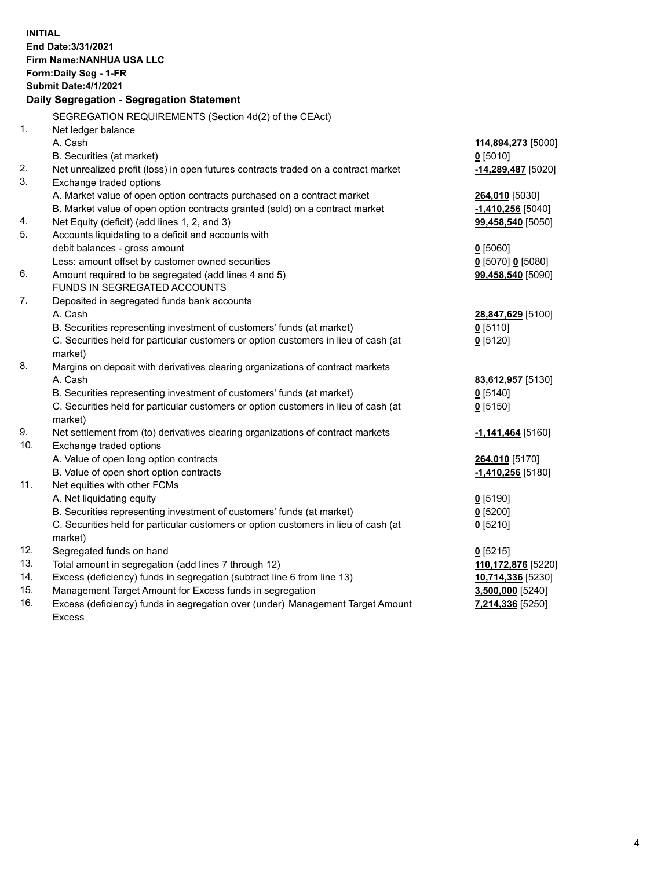| <b>INITIAL</b> | End Date: 3/31/2021<br>Firm Name: NANHUA USA LLC<br>Form: Daily Seg - 1-FR<br>Submit Date: 4/1/2021 |                              |
|----------------|-----------------------------------------------------------------------------------------------------|------------------------------|
|                | Daily Segregation - Segregation Statement                                                           |                              |
|                | SEGREGATION REQUIREMENTS (Section 4d(2) of the CEAct)                                               |                              |
| 1.             | Net ledger balance                                                                                  |                              |
|                | A. Cash                                                                                             | 114,894,273 [5000]           |
|                | B. Securities (at market)                                                                           | $0$ [5010]                   |
| 2.             | Net unrealized profit (loss) in open futures contracts traded on a contract market                  | -14,289,487 [5020]           |
| 3.             | Exchange traded options                                                                             |                              |
|                | A. Market value of open option contracts purchased on a contract market                             | 264,010 [5030]               |
|                | B. Market value of open option contracts granted (sold) on a contract market                        | $-1,410,256$ [5040]          |
| 4.             | Net Equity (deficit) (add lines 1, 2, and 3)                                                        | 99,458,540 [5050]            |
| 5.             | Accounts liquidating to a deficit and accounts with                                                 |                              |
|                | debit balances - gross amount                                                                       | $0$ [5060]                   |
|                | Less: amount offset by customer owned securities                                                    | 0 [5070] 0 [5080]            |
| 6.             | Amount required to be segregated (add lines 4 and 5)                                                | 99,458,540 [5090]            |
|                | FUNDS IN SEGREGATED ACCOUNTS                                                                        |                              |
| 7.             | Deposited in segregated funds bank accounts                                                         |                              |
|                | A. Cash                                                                                             | 28,847,629 [5100]            |
|                | B. Securities representing investment of customers' funds (at market)                               | $0$ [5110]                   |
|                | C. Securities held for particular customers or option customers in lieu of cash (at                 | $0$ [5120]                   |
|                | market)                                                                                             |                              |
| 8.             | Margins on deposit with derivatives clearing organizations of contract markets                      |                              |
|                | A. Cash                                                                                             | 83,612,957 [5130]            |
|                | B. Securities representing investment of customers' funds (at market)                               | $0$ [5140]                   |
|                | C. Securities held for particular customers or option customers in lieu of cash (at                 | $0$ [5150]                   |
| 9.             | market)<br>Net settlement from (to) derivatives clearing organizations of contract markets          |                              |
| 10.            | Exchange traded options                                                                             | -1,141,464 <sup>[5160]</sup> |
|                | A. Value of open long option contracts                                                              | 264,010 [5170]               |
|                | B. Value of open short option contracts                                                             | -1,410,256 <sup>[5180]</sup> |
| 11.            | Net equities with other FCMs                                                                        |                              |
|                | A. Net liquidating equity                                                                           | $0$ [5190]                   |
|                | B. Securities representing investment of customers' funds (at market)                               | $0$ [5200]                   |
|                | C. Securities held for particular customers or option customers in lieu of cash (at                 | $0$ [5210]                   |
|                | market)                                                                                             |                              |
| 12.            | Segregated funds on hand                                                                            | $0$ [5215]                   |
| 13.            | Total amount in segregation (add lines 7 through 12)                                                | 110,172,876 [5220]           |
| 14.            | Excess (deficiency) funds in segregation (subtract line 6 from line 13)                             | 10,714,336 [5230]            |
| 15.            | Management Target Amount for Excess funds in segregation                                            | 3,500,000 [5240]             |
| 16.            | Excess (deficiency) funds in segregation over (under) Management Target Amount                      | 7,214,336 [5250]             |
|                | <b>Excess</b>                                                                                       |                              |